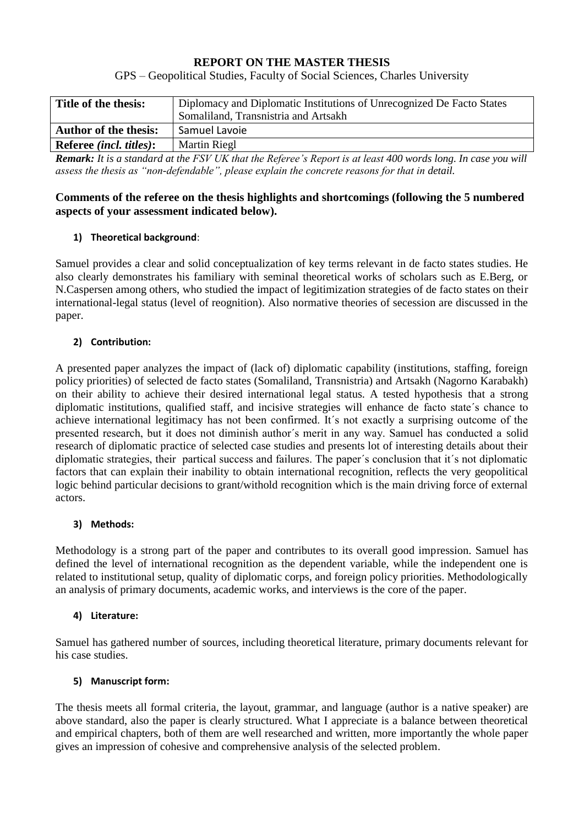# **REPORT ON THE MASTER THESIS**

GPS – Geopolitical Studies, Faculty of Social Sciences, Charles University

| Title of the thesis:            | Diplomacy and Diplomatic Institutions of Unrecognized De Facto States                                                                                                                                                                                                                                                                                                                              |  |
|---------------------------------|----------------------------------------------------------------------------------------------------------------------------------------------------------------------------------------------------------------------------------------------------------------------------------------------------------------------------------------------------------------------------------------------------|--|
|                                 | Somaliland, Transnistria and Artsakh                                                                                                                                                                                                                                                                                                                                                               |  |
| <b>Author of the thesis:</b>    | Samuel Lavoie                                                                                                                                                                                                                                                                                                                                                                                      |  |
| Referee <i>(incl. titles)</i> : | Martin Riegl                                                                                                                                                                                                                                                                                                                                                                                       |  |
| $\sim$ $\sim$ $\sim$ $\sim$     | $\mathbf{r}$ <b>HOTETTE</b> $\mathbf{r}$ $\mathbf{r}$ $\mathbf{r}$ $\mathbf{r}$ $\mathbf{r}$ $\mathbf{r}$ $\mathbf{r}$ $\mathbf{r}$ $\mathbf{r}$ $\mathbf{r}$ $\mathbf{r}$ $\mathbf{r}$ $\mathbf{r}$ $\mathbf{r}$ $\mathbf{r}$ $\mathbf{r}$ $\mathbf{r}$ $\mathbf{r}$ $\mathbf{r}$ $\mathbf{r}$ $\mathbf{r}$ $\mathbf{r}$ $\mathbf$<br><br>$\sim$ $\sim$ $\sim$ $\sim$ $\sim$ $\sim$ $\sim$ $\sim$ |  |

*Remark: It is a standard at the FSV UK that the Referee's Report is at least 400 words long. In case you will assess the thesis as "non-defendable", please explain the concrete reasons for that in detail.*

### **Comments of the referee on the thesis highlights and shortcomings (following the 5 numbered aspects of your assessment indicated below).**

## **1) Theoretical background**:

Samuel provides a clear and solid conceptualization of key terms relevant in de facto states studies. He also clearly demonstrates his familiary with seminal theoretical works of scholars such as E.Berg, or N.Caspersen among others, who studied the impact of legitimization strategies of de facto states on their international-legal status (level of reognition). Also normative theories of secession are discussed in the paper.

### **2) Contribution:**

A presented paper analyzes the impact of (lack of) diplomatic capability (institutions, staffing, foreign policy priorities) of selected de facto states (Somaliland, Transnistria) and Artsakh (Nagorno Karabakh) on their ability to achieve their desired international legal status. A tested hypothesis that a strong diplomatic institutions, qualified staff, and incisive strategies will enhance de facto state´s chance to achieve international legitimacy has not been confirmed. It´s not exactly a surprising outcome of the presented research, but it does not diminish author´s merit in any way. Samuel has conducted a solid research of diplomatic practice of selected case studies and presents lot of interesting details about their diplomatic strategies, their partical success and failures. The paper´s conclusion that it´s not diplomatic factors that can explain their inability to obtain international recognition, reflects the very geopolitical logic behind particular decisions to grant/withold recognition which is the main driving force of external actors.

#### **3) Methods:**

Methodology is a strong part of the paper and contributes to its overall good impression. Samuel has defined the level of international recognition as the dependent variable, while the independent one is related to institutional setup, quality of diplomatic corps, and foreign policy priorities. Methodologically an analysis of primary documents, academic works, and interviews is the core of the paper.

## **4) Literature:**

Samuel has gathered number of sources, including theoretical literature, primary documents relevant for his case studies.

#### **5) Manuscript form:**

The thesis meets all formal criteria, the layout, grammar, and language (author is a native speaker) are above standard, also the paper is clearly structured. What I appreciate is a balance between theoretical and empirical chapters, both of them are well researched and written, more importantly the whole paper gives an impression of cohesive and comprehensive analysis of the selected problem.